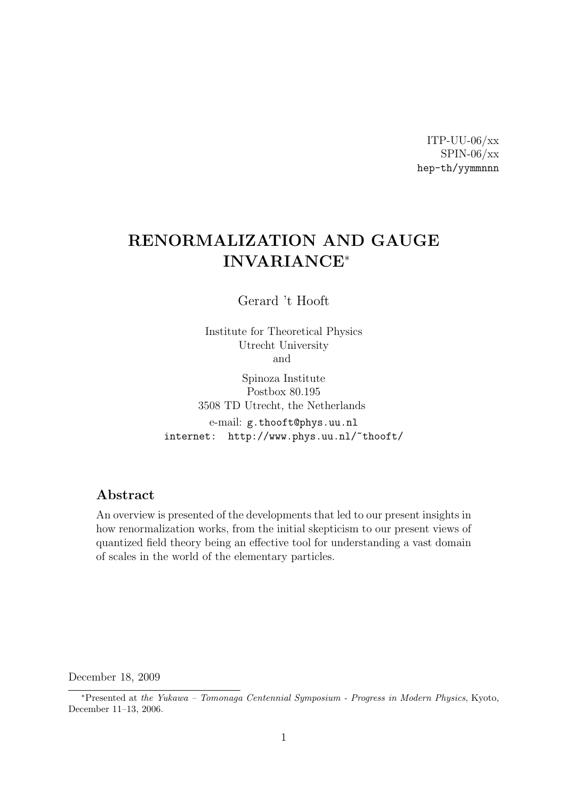ITP-UU-06/xx SPIN-06/xx hep-th/yymmnnn

# RENORMALIZATION AND GAUGE INVARIANCE<sup>∗</sup>

Gerard 't Hooft

Institute for Theoretical Physics Utrecht University and

Spinoza Institute Postbox 80.195 3508 TD Utrecht, the Netherlands e-mail: g.thooft@phys.uu.nl internet: http://www.phys.uu.nl/~thooft/

#### Abstract

An overview is presented of the developments that led to our present insights in how renormalization works, from the initial skepticism to our present views of quantized field theory being an effective tool for understanding a vast domain of scales in the world of the elementary particles.

December 18, 2009

<sup>∗</sup>Presented at the Yukawa – Tomonaga Centennial Symposium - Progress in Modern Physics, Kyoto, December 11–13, 2006.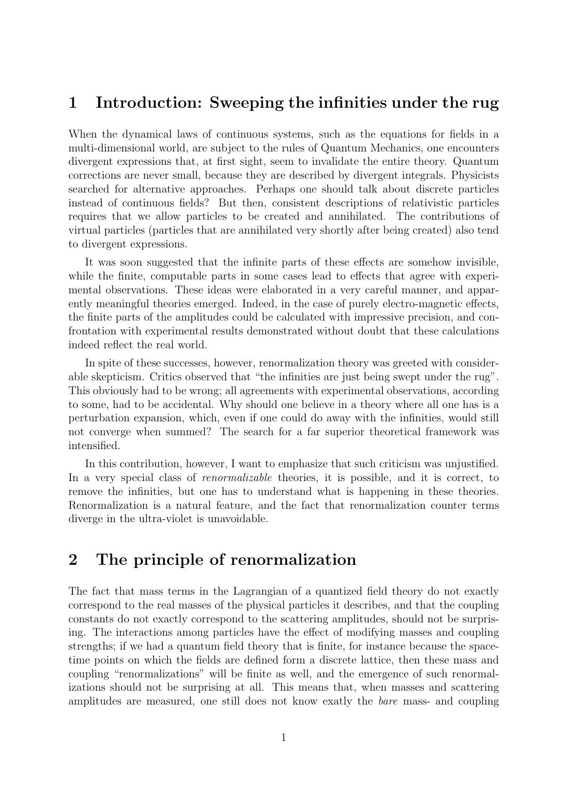## 1 Introduction: Sweeping the infinities under the rug

When the dynamical laws of continuous systems, such as the equations for fields in a multi-dimensional world, are subject to the rules of Quantum Mechanics, one encounters divergent expressions that, at first sight, seem to invalidate the entire theory. Quantum corrections are never small, because they are described by divergent integrals. Physicists searched for alternative approaches. Perhaps one should talk about discrete particles instead of continuous fields? But then, consistent descriptions of relativistic particles requires that we allow particles to be created and annihilated. The contributions of virtual particles (particles that are annihilated very shortly after being created) also tend to divergent expressions.

It was soon suggested that the infinite parts of these effects are somehow invisible, while the finite, computable parts in some cases lead to effects that agree with experimental observations. These ideas were elaborated in a very careful manner, and apparently meaningful theories emerged. Indeed, in the case of purely electro-magnetic effects, the finite parts of the amplitudes could be calculated with impressive precision, and confrontation with experimental results demonstrated without doubt that these calculations indeed reflect the real world.

In spite of these successes, however, renormalization theory was greeted with considerable skepticism. Critics observed that "the infinities are just being swept under the rug". This obviously had to be wrong; all agreements with experimental observations, according to some, had to be accidental. Why should one believe in a theory where all one has is a perturbation expansion, which, even if one could do away with the infinities, would still not converge when summed? The search for a far superior theoretical framework was intensified.

In this contribution, however, I want to emphasize that such criticism was unjustified. In a very special class of *renormalizable* theories, it is possible, and it is correct, to remove the infinities, but one has to understand what is happening in these theories. Renormalization is a natural feature, and the fact that renormalization counter terms diverge in the ultra-violet is unavoidable.

# 2 The principle of renormalization

The fact that mass terms in the Lagrangian of a quantized field theory do not exactly correspond to the real masses of the physical particles it describes, and that the coupling constants do not exactly correspond to the scattering amplitudes, should not be surprising. The interactions among particles have the effect of modifying masses and coupling strengths; if we had a quantum field theory that is finite, for instance because the spacetime points on which the fields are defined form a discrete lattice, then these mass and coupling "renormalizations" will be finite as well, and the emergence of such renormalizations should not be surprising at all. This means that, when masses and scattering amplitudes are measured, one still does not know exatly the bare mass- and coupling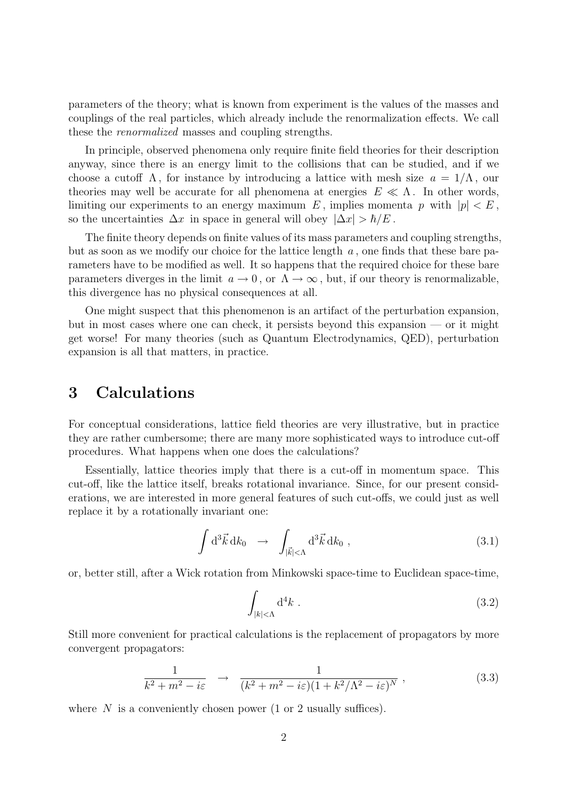parameters of the theory; what is known from experiment is the values of the masses and couplings of the real particles, which already include the renormalization effects. We call these the renormalized masses and coupling strengths.

In principle, observed phenomena only require finite field theories for their description anyway, since there is an energy limit to the collisions that can be studied, and if we choose a cutoff  $\Lambda$ , for instance by introducing a lattice with mesh size  $a = 1/\Lambda$ , our theories may well be accurate for all phenomena at energies  $E \ll \Lambda$ . In other words, limiting our experiments to an energy maximum E, implies momenta p with  $|p| < E$ , so the uncertainties  $\Delta x$  in space in general will obey  $|\Delta x| > \hbar/E$ .

The finite theory depends on finite values of its mass parameters and coupling strengths, but as soon as we modify our choice for the lattice length  $a$ , one finds that these bare parameters have to be modified as well. It so happens that the required choice for these bare parameters diverges in the limit  $a \to 0$ , or  $\Lambda \to \infty$ , but, if our theory is renormalizable, this divergence has no physical consequences at all.

One might suspect that this phenomenon is an artifact of the perturbation expansion, but in most cases where one can check, it persists beyond this expansion — or it might get worse! For many theories (such as Quantum Electrodynamics, QED), perturbation expansion is all that matters, in practice.

## 3 Calculations

For conceptual considerations, lattice field theories are very illustrative, but in practice they are rather cumbersome; there are many more sophisticated ways to introduce cut-off procedures. What happens when one does the calculations?

Essentially, lattice theories imply that there is a cut-off in momentum space. This cut-off, like the lattice itself, breaks rotational invariance. Since, for our present considerations, we are interested in more general features of such cut-offs, we could just as well replace it by a rotationally invariant one:

$$
\int d^3 \vec{k} \, dk_0 \rightarrow \int_{|\vec{k}|<\Lambda} d^3 \vec{k} \, dk_0 , \qquad (3.1)
$$

or, better still, after a Wick rotation from Minkowski space-time to Euclidean space-time,

$$
\int_{|k|<\Lambda} \mathrm{d}^4 k \ . \tag{3.2}
$$

Still more convenient for practical calculations is the replacement of propagators by more convergent propagators:

$$
\frac{1}{k^2 + m^2 - i\varepsilon} \rightarrow \frac{1}{(k^2 + m^2 - i\varepsilon)(1 + k^2/\Lambda^2 - i\varepsilon)^N},
$$
\n(3.3)

where  $N$  is a conveniently chosen power (1 or 2 usually suffices).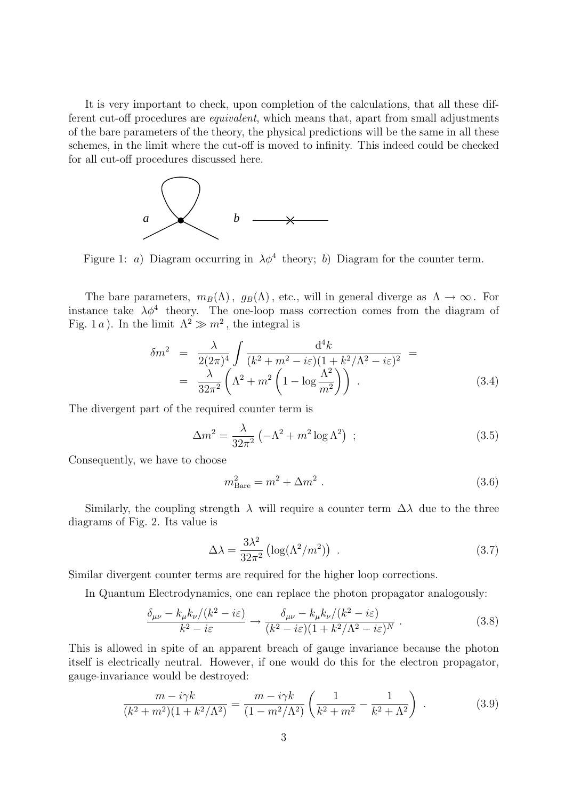It is very important to check, upon completion of the calculations, that all these different cut-off procedures are *equivalent*, which means that, apart from small adjustments of the bare parameters of the theory, the physical predictions will be the same in all these schemes, in the limit where the cut-off is moved to infinity. This indeed could be checked for all cut-off procedures discussed here.



Figure 1: a) Diagram occurring in  $\lambda \phi^4$  theory; b) Diagram for the counter term.

The bare parameters,  $m_B(\Lambda)$ ,  $q_B(\Lambda)$ , etc., will in general diverge as  $\Lambda \to \infty$ . For instance take  $\lambda \phi^4$  theory. The one-loop mass correction comes from the diagram of Fig. 1 a). In the limit  $\Lambda^2 \gg m^2$ , the integral is

$$
\delta m^2 = \frac{\lambda}{2(2\pi)^4} \int \frac{\mathrm{d}^4 k}{(k^2 + m^2 - i\varepsilon)(1 + k^2/\Lambda^2 - i\varepsilon)^2} =
$$
  
= 
$$
\frac{\lambda}{32\pi^2} \left( \Lambda^2 + m^2 \left( 1 - \log \frac{\Lambda^2}{m^2} \right) \right).
$$
 (3.4)

The divergent part of the required counter term is

$$
\Delta m^2 = \frac{\lambda}{32\pi^2} \left( -\Lambda^2 + m^2 \log \Lambda^2 \right) ; \qquad (3.5)
$$

Consequently, we have to choose

$$
m_{\text{Bare}}^2 = m^2 + \Delta m^2 \tag{3.6}
$$

Similarly, the coupling strength  $\lambda$  will require a counter term  $\Delta\lambda$  due to the three diagrams of Fig. 2. Its value is

$$
\Delta\lambda = \frac{3\lambda^2}{32\pi^2} \left( \log(\Lambda^2/m^2) \right) \ . \tag{3.7}
$$

Similar divergent counter terms are required for the higher loop corrections.

In Quantum Electrodynamics, one can replace the photon propagator analogously:

$$
\frac{\delta_{\mu\nu} - k_{\mu}k_{\nu}/(k^2 - i\varepsilon)}{k^2 - i\varepsilon} \to \frac{\delta_{\mu\nu} - k_{\mu}k_{\nu}/(k^2 - i\varepsilon)}{(k^2 - i\varepsilon)(1 + k^2/\Lambda^2 - i\varepsilon)^N} .
$$
\n(3.8)

This is allowed in spite of an apparent breach of gauge invariance because the photon itself is electrically neutral. However, if one would do this for the electron propagator, gauge-invariance would be destroyed:

$$
\frac{m - i\gamma k}{(k^2 + m^2)(1 + k^2/\Lambda^2)} = \frac{m - i\gamma k}{(1 - m^2/\Lambda^2)} \left(\frac{1}{k^2 + m^2} - \frac{1}{k^2 + \Lambda^2}\right) .
$$
 (3.9)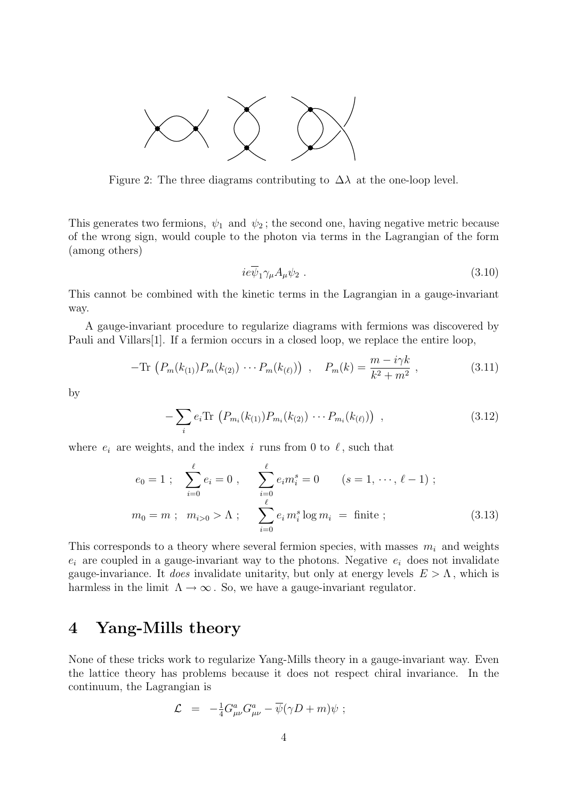

Figure 2: The three diagrams contributing to  $\Delta\lambda$  at the one-loop level.

This generates two fermions,  $\psi_1$  and  $\psi_2$ ; the second one, having negative metric because of the wrong sign, would couple to the photon via terms in the Lagrangian of the form (among others)

$$
ie\overline{\psi}_1\gamma_\mu A_\mu\psi_2\ .\tag{3.10}
$$

This cannot be combined with the kinetic terms in the Lagrangian in a gauge-invariant way.

A gauge-invariant procedure to regularize diagrams with fermions was discovered by Pauli and Villars[1]. If a fermion occurs in a closed loop, we replace the entire loop,

$$
-\text{Tr}\,\left(P_m(k_{(1)})P_m(k_{(2)})\,\cdots P_m(k_{(\ell)})\right)\,,\quad P_m(k) = \frac{m - i\gamma k}{k^2 + m^2}\,,\tag{3.11}
$$

by

$$
-\sum_{i} e_i \text{Tr} \left( P_{m_i}(k_{(1)}) P_{m_i}(k_{(2)}) \cdots P_{m_i}(k_{(\ell)}) \right) , \qquad (3.12)
$$

where  $e_i$  are weights, and the index i runs from 0 to  $\ell$ , such that

$$
e_0 = 1 \; ; \quad \sum_{i=0}^{\ell} e_i = 0 \; , \qquad \sum_{i=0}^{\ell} e_i m_i^s = 0 \qquad (s = 1, \; \cdots, \; \ell - 1) \; ;
$$

$$
m_0 = m \; ; \quad m_{i>0} > \Lambda \; ; \qquad \sum_{i=0}^{\ell} e_i m_i^s \log m_i = \text{finite} \; ; \tag{3.13}
$$

This corresponds to a theory where several fermion species, with masses  $m_i$  and weights  $e_i$  are coupled in a gauge-invariant way to the photons. Negative  $e_i$  does not invalidate gauge-invariance. It does invalidate unitarity, but only at energy levels  $E > \Lambda$ , which is harmless in the limit  $\Lambda \to \infty$ . So, we have a gauge-invariant regulator.

## 4 Yang-Mills theory

None of these tricks work to regularize Yang-Mills theory in a gauge-invariant way. Even the lattice theory has problems because it does not respect chiral invariance. In the continuum, the Lagrangian is

$$
\mathcal{L} = -\frac{1}{4} G^a_{\mu\nu} G^a_{\mu\nu} - \overline{\psi} (\gamma D + m) \psi ;
$$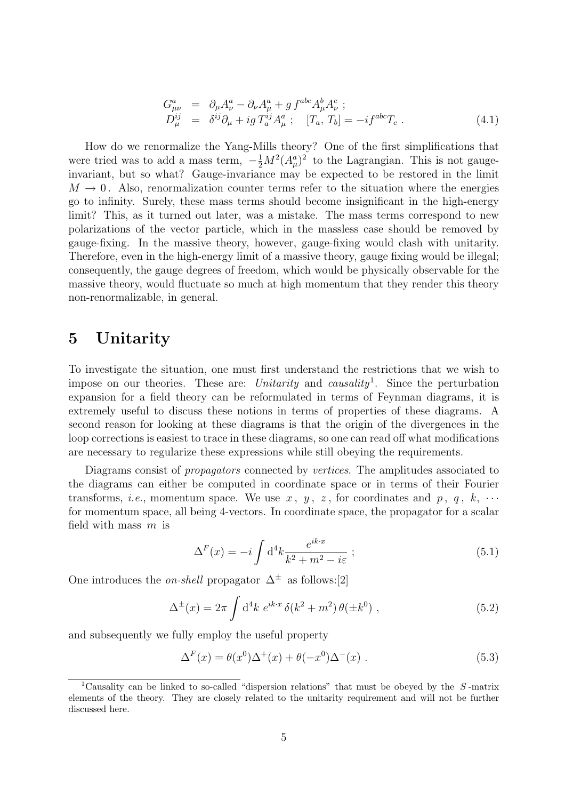$$
G_{\mu\nu}^{a} = \partial_{\mu}A_{\nu}^{a} - \partial_{\nu}A_{\mu}^{a} + g f^{abc} A_{\mu}^{b} A_{\nu}^{c} ; D_{\mu}^{ij} = \delta^{ij}\partial_{\mu} + ig T_{a}^{ij} A_{\mu}^{a} ; [T_{a}, T_{b}] = -i f^{abc} T_{c} .
$$
\n(4.1)

How do we renormalize the Yang-Mills theory? One of the first simplifications that were tried was to add a mass term,  $-\frac{1}{2}M^2(A_\mu^a)^2$  to the Lagrangian. This is not gaugeinvariant, but so what? Gauge-invariance may be expected to be restored in the limit  $M \to 0$ . Also, renormalization counter terms refer to the situation where the energies go to infinity. Surely, these mass terms should become insignificant in the high-energy limit? This, as it turned out later, was a mistake. The mass terms correspond to new polarizations of the vector particle, which in the massless case should be removed by gauge-fixing. In the massive theory, however, gauge-fixing would clash with unitarity. Therefore, even in the high-energy limit of a massive theory, gauge fixing would be illegal; consequently, the gauge degrees of freedom, which would be physically observable for the massive theory, would fluctuate so much at high momentum that they render this theory non-renormalizable, in general.

## 5 Unitarity

To investigate the situation, one must first understand the restrictions that we wish to impose on our theories. These are: Unitarity and causality<sup>1</sup>. Since the perturbation expansion for a field theory can be reformulated in terms of Feynman diagrams, it is extremely useful to discuss these notions in terms of properties of these diagrams. A second reason for looking at these diagrams is that the origin of the divergences in the loop corrections is easiest to trace in these diagrams, so one can read off what modifications are necessary to regularize these expressions while still obeying the requirements.

Diagrams consist of *propagators* connected by *vertices*. The amplitudes associated to the diagrams can either be computed in coordinate space or in terms of their Fourier transforms, *i.e.*, momentum space. We use x, y, z, for coordinates and p, q, k,  $\cdots$ for momentum space, all being 4-vectors. In coordinate space, the propagator for a scalar field with mass  $m$  is

$$
\Delta^F(x) = -i \int \mathrm{d}^4 k \frac{e^{ik \cdot x}}{k^2 + m^2 - i\varepsilon} ; \tag{5.1}
$$

One introduces the *on-shell* propagator  $\Delta^{\pm}$  as follows:[2]

$$
\Delta^{\pm}(x) = 2\pi \int d^4k \ e^{ik \cdot x} \, \delta(k^2 + m^2) \, \theta(\pm k^0) \;, \tag{5.2}
$$

and subsequently we fully employ the useful property

$$
\Delta^F(x) = \theta(x^0)\Delta^+(x) + \theta(-x^0)\Delta^-(x) . \qquad (5.3)
$$

<sup>&</sup>lt;sup>1</sup>Causality can be linked to so-called "dispersion relations" that must be obeyed by the  $S$ -matrix elements of the theory. They are closely related to the unitarity requirement and will not be further discussed here.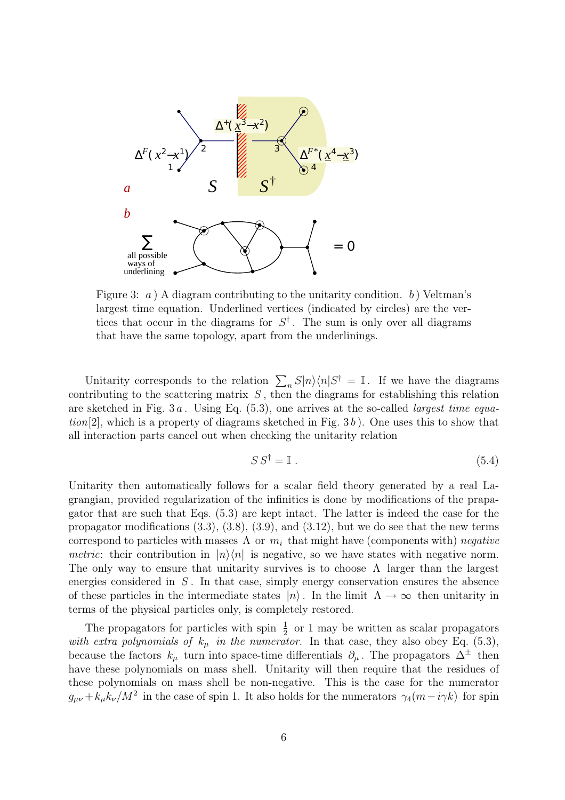

Figure 3: a ) A diagram contributing to the unitarity condition. b ) Veltman's largest time equation. Underlined vertices (indicated by circles) are the vertices that occur in the diagrams for  $S^{\dagger}$ . The sum is only over all diagrams that have the same topology, apart from the underlinings.

Unitarity corresponds to the relation  $\sum_{n} S|n\rangle\langle n|S^{\dagger} = \mathbb{I}$ . If we have the diagrams contributing to the scattering matrix  $S$ , then the diagrams for establishing this relation are sketched in Fig.  $3a$ . Using Eq.  $(5.3)$ , one arrives at the so-called *largest time equa* $tion[2]$ , which is a property of diagrams sketched in Fig. 3b). One uses this to show that all interaction parts cancel out when checking the unitarity relation

$$
SS^{\dagger} = \mathbb{I} \tag{5.4}
$$

Unitarity then automatically follows for a scalar field theory generated by a real Lagrangian, provided regularization of the infinities is done by modifications of the prapagator that are such that Eqs. (5.3) are kept intact. The latter is indeed the case for the propagator modifications (3.3), (3.8), (3.9), and (3.12), but we do see that the new terms correspond to particles with masses  $\Lambda$  or  $m_i$  that might have (components with) negative *metric*: their contribution in  $|n\rangle\langle n|$  is negative, so we have states with negative norm. The only way to ensure that unitarity survives is to choose  $\Lambda$  larger than the largest energies considered in  $S$ . In that case, simply energy conservation ensures the absence of these particles in the intermediate states  $|n\rangle$ . In the limit  $\Lambda \to \infty$  then unitarity in terms of the physical particles only, is completely restored.

The propagators for particles with spin  $\frac{1}{2}$  or 1 may be written as scalar propagators with extra polynomials of  $k_{\mu}$  in the numerator. In that case, they also obey Eq. (5.3), because the factors  $k_{\mu}$  turn into space-time differentials  $\partial_{\mu}$ . The propagators  $\Delta^{\pm}$  then have these polynomials on mass shell. Unitarity will then require that the residues of these polynomials on mass shell be non-negative. This is the case for the numerator  $g_{\mu\nu} + k_{\mu}k_{\nu}/M^2$  in the case of spin 1. It also holds for the numerators  $\gamma_4(m-i\gamma k)$  for spin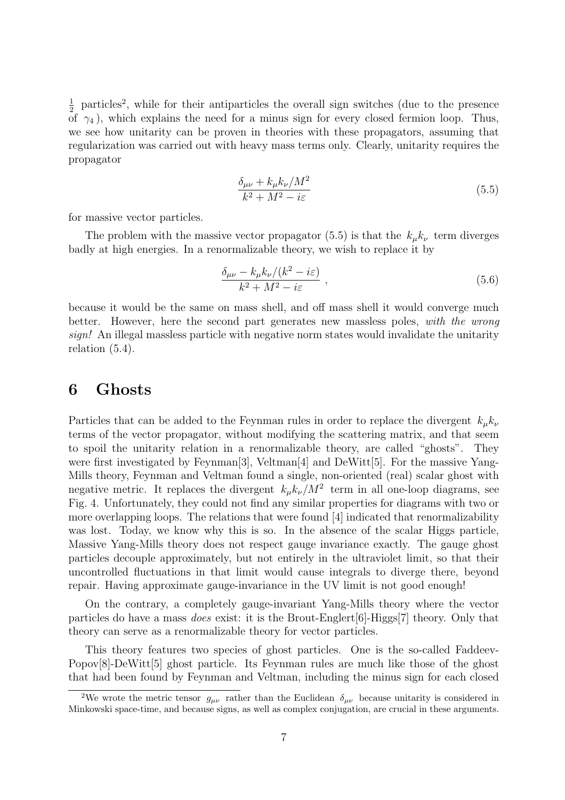1  $\frac{1}{2}$  particles<sup>2</sup>, while for their antiparticles the overall sign switches (due to the presence of  $\gamma_4$ ), which explains the need for a minus sign for every closed fermion loop. Thus, we see how unitarity can be proven in theories with these propagators, assuming that regularization was carried out with heavy mass terms only. Clearly, unitarity requires the propagator

$$
\frac{\delta_{\mu\nu} + k_{\mu}k_{\nu}/M^2}{k^2 + M^2 - i\varepsilon}
$$
\n(5.5)

for massive vector particles.

The problem with the massive vector propagator (5.5) is that the  $k_{\mu}k_{\nu}$  term diverges badly at high energies. In a renormalizable theory, we wish to replace it by

$$
\frac{\delta_{\mu\nu} - k_{\mu}k_{\nu}/(k^2 - i\varepsilon)}{k^2 + M^2 - i\varepsilon} \,, \tag{5.6}
$$

because it would be the same on mass shell, and off mass shell it would converge much better. However, here the second part generates new massless poles, with the wrong sign! An illegal massless particle with negative norm states would invalidate the unitarity relation (5.4).

#### 6 Ghosts

Particles that can be added to the Feynman rules in order to replace the divergent  $k_{\mu}k_{\nu}$ terms of the vector propagator, without modifying the scattering matrix, and that seem to spoil the unitarity relation in a renormalizable theory, are called "ghosts". They were first investigated by Feynman[3], Veltman[4] and DeWitt[5]. For the massive Yang-Mills theory, Feynman and Veltman found a single, non-oriented (real) scalar ghost with negative metric. It replaces the divergent  $k_{\mu}k_{\nu}/M^2$  term in all one-loop diagrams, see Fig. 4. Unfortunately, they could not find any similar properties for diagrams with two or more overlapping loops. The relations that were found [4] indicated that renormalizability was lost. Today, we know why this is so. In the absence of the scalar Higgs particle, Massive Yang-Mills theory does not respect gauge invariance exactly. The gauge ghost particles decouple approximately, but not entirely in the ultraviolet limit, so that their uncontrolled fluctuations in that limit would cause integrals to diverge there, beyond repair. Having approximate gauge-invariance in the UV limit is not good enough!

On the contrary, a completely gauge-invariant Yang-Mills theory where the vector particles do have a mass does exist: it is the Brout-Englert[6]-Higgs[7] theory. Only that theory can serve as a renormalizable theory for vector particles.

This theory features two species of ghost particles. One is the so-called Faddeev-Popov[8]-DeWitt[5] ghost particle. Its Feynman rules are much like those of the ghost that had been found by Feynman and Veltman, including the minus sign for each closed

<sup>&</sup>lt;sup>2</sup>We wrote the metric tensor  $g_{\mu\nu}$  rather than the Euclidean  $\delta_{\mu\nu}$  because unitarity is considered in Minkowski space-time, and because signs, as well as complex conjugation, are crucial in these arguments.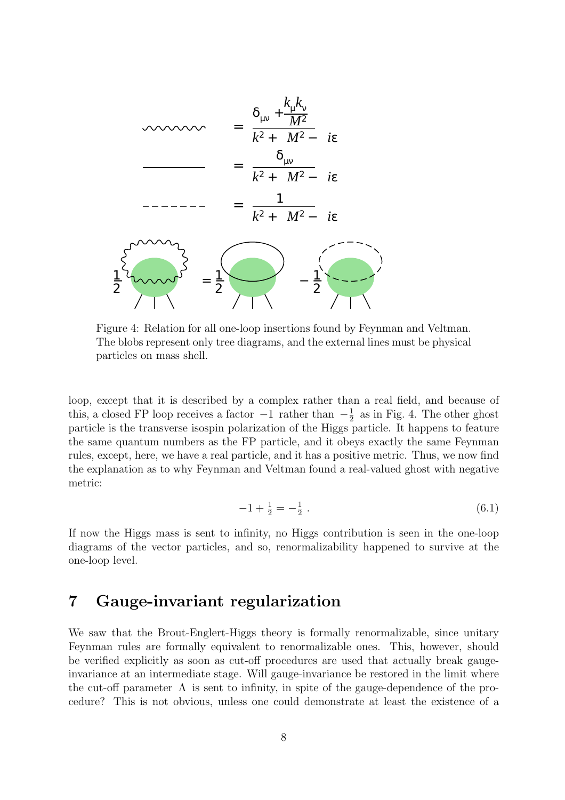

Figure 4: Relation for all one-loop insertions found by Feynman and Veltman. The blobs represent only tree diagrams, and the external lines must be physical particles on mass shell.

loop, except that it is described by a complex rather than a real field, and because of this, a closed FP loop receives a factor  $-1$  rather than  $-\frac{1}{2}$  $\frac{1}{2}$  as in Fig. 4. The other ghost particle is the transverse isospin polarization of the Higgs particle. It happens to feature the same quantum numbers as the FP particle, and it obeys exactly the same Feynman rules, except, here, we have a real particle, and it has a positive metric. Thus, we now find the explanation as to why Feynman and Veltman found a real-valued ghost with negative metric:

$$
-1 + \frac{1}{2} = -\frac{1}{2} \tag{6.1}
$$

If now the Higgs mass is sent to infinity, no Higgs contribution is seen in the one-loop diagrams of the vector particles, and so, renormalizability happened to survive at the one-loop level.

#### 7 Gauge-invariant regularization

We saw that the Brout-Englert-Higgs theory is formally renormalizable, since unitary Feynman rules are formally equivalent to renormalizable ones. This, however, should be verified explicitly as soon as cut-off procedures are used that actually break gaugeinvariance at an intermediate stage. Will gauge-invariance be restored in the limit where the cut-off parameter  $\Lambda$  is sent to infinity, in spite of the gauge-dependence of the procedure? This is not obvious, unless one could demonstrate at least the existence of a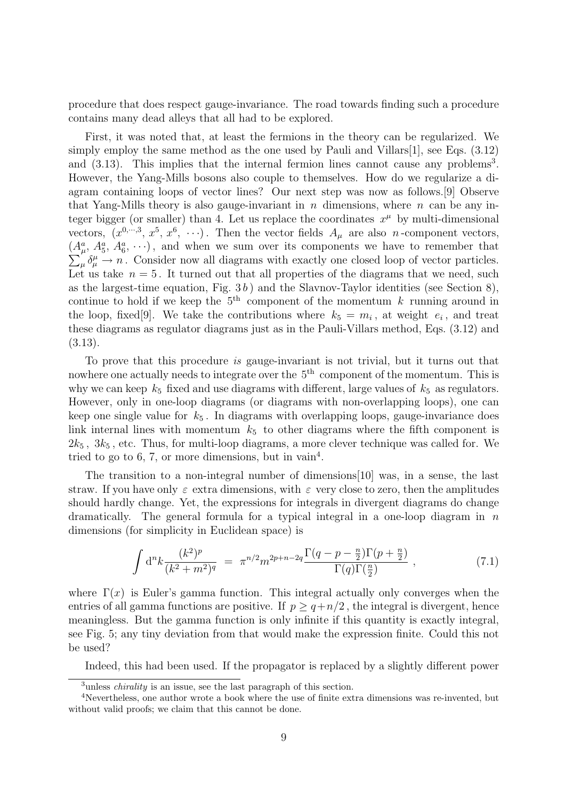procedure that does respect gauge-invariance. The road towards finding such a procedure contains many dead alleys that all had to be explored.

First, it was noted that, at least the fermions in the theory can be regularized. We simply employ the same method as the one used by Pauli and Villars[1], see Eqs.  $(3.12)$ and  $(3.13)$ . This implies that the internal fermion lines cannot cause any problems<sup>3</sup>. However, the Yang-Mills bosons also couple to themselves. How do we regularize a diagram containing loops of vector lines? Our next step was now as follows.[9] Observe that Yang-Mills theory is also gauge-invariant in n dimensions, where  $n$  can be any integer bigger (or smaller) than 4. Let us replace the coordinates  $x^{\mu}$  by multi-dimensional vectors,  $(x^{0,\dots,3}, x^5, x^6, \dots)$ . Then the vector fields  $A_\mu$  are also *n*-component vectors,  $(A_{\mu}^{a}, A_{5}^{a}, A_{6}^{a}, \cdots)$ , and when we sum over its components we have to remember that  $\mu_{\mu} \delta^{\mu}_{\mu} \to n$ . Consider now all diagrams with exactly one closed loop of vector particles. Let us take  $n = 5$ . It turned out that all properties of the diagrams that we need, such as the largest-time equation, Fig.  $3 b$ ) and the Slavnov-Taylor identities (see Section 8), continue to hold if we keep the  $5<sup>th</sup>$  component of the momentum k running around in the loop, fixed [9]. We take the contributions where  $k_5 = m_i$ , at weight  $e_i$ , and treat these diagrams as regulator diagrams just as in the Pauli-Villars method, Eqs. (3.12) and (3.13).

To prove that this procedure is gauge-invariant is not trivial, but it turns out that nowhere one actually needs to integrate over the  $5<sup>th</sup>$  component of the momentum. This is why we can keep  $k_5$  fixed and use diagrams with different, large values of  $k_5$  as regulators. However, only in one-loop diagrams (or diagrams with non-overlapping loops), one can keep one single value for  $k_5$ . In diagrams with overlapping loops, gauge-invariance does link internal lines with momentum  $k<sub>5</sub>$  to other diagrams where the fifth component is  $2k_5$ ,  $3k_5$ , etc. Thus, for multi-loop diagrams, a more clever technique was called for. We tried to go to 6, 7, or more dimensions, but in vain<sup>4</sup>.

The transition to a non-integral number of dimensions[10] was, in a sense, the last straw. If you have only  $\varepsilon$  extra dimensions, with  $\varepsilon$  very close to zero, then the amplitudes should hardly change. Yet, the expressions for integrals in divergent diagrams do change dramatically. The general formula for a typical integral in a one-loop diagram in  $n$ dimensions (for simplicity in Euclidean space) is

$$
\int d^{n}k \frac{(k^{2})^{p}}{(k^{2}+m^{2})^{q}} = \pi^{n/2}m^{2p+n-2q}\frac{\Gamma(q-p-\frac{n}{2})\Gamma(p+\frac{n}{2})}{\Gamma(q)\Gamma(\frac{n}{2})},
$$
\n(7.1)

where  $\Gamma(x)$  is Euler's gamma function. This integral actually only converges when the entries of all gamma functions are positive. If  $p \geq q + n/2$ , the integral is divergent, hence meaningless. But the gamma function is only infinite if this quantity is exactly integral, see Fig. 5; any tiny deviation from that would make the expression finite. Could this not be used?

Indeed, this had been used. If the propagator is replaced by a slightly different power

<sup>&</sup>lt;sup>3</sup>unless *chirality* is an issue, see the last paragraph of this section.

<sup>4</sup>Nevertheless, one author wrote a book where the use of finite extra dimensions was re-invented, but without valid proofs; we claim that this cannot be done.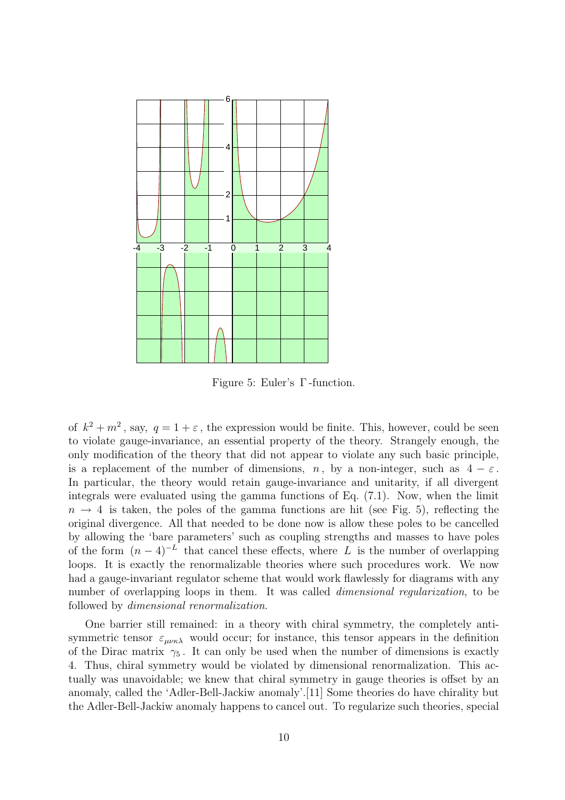

Figure 5: Euler's Γ -function.

of  $k^2 + m^2$ , say,  $q = 1 + \varepsilon$ , the expression would be finite. This, however, could be seen to violate gauge-invariance, an essential property of the theory. Strangely enough, the only modification of the theory that did not appear to violate any such basic principle, is a replacement of the number of dimensions, n, by a non-integer, such as  $4 - \varepsilon$ . In particular, the theory would retain gauge-invariance and unitarity, if all divergent integrals were evaluated using the gamma functions of Eq. (7.1). Now, when the limit  $n \to 4$  is taken, the poles of the gamma functions are hit (see Fig. 5), reflecting the original divergence. All that needed to be done now is allow these poles to be cancelled by allowing the 'bare parameters' such as coupling strengths and masses to have poles of the form  $(n-4)^{-L}$  that cancel these effects, where L is the number of overlapping loops. It is exactly the renormalizable theories where such procedures work. We now had a gauge-invariant regulator scheme that would work flawlessly for diagrams with any number of overlapping loops in them. It was called dimensional regularization, to be followed by dimensional renormalization.

One barrier still remained: in a theory with chiral symmetry, the completely antisymmetric tensor  $\varepsilon_{\mu\nu\kappa\lambda}$  would occur; for instance, this tensor appears in the definition of the Dirac matrix  $\gamma_5$ . It can only be used when the number of dimensions is exactly 4. Thus, chiral symmetry would be violated by dimensional renormalization. This actually was unavoidable; we knew that chiral symmetry in gauge theories is offset by an anomaly, called the 'Adler-Bell-Jackiw anomaly'.[11] Some theories do have chirality but the Adler-Bell-Jackiw anomaly happens to cancel out. To regularize such theories, special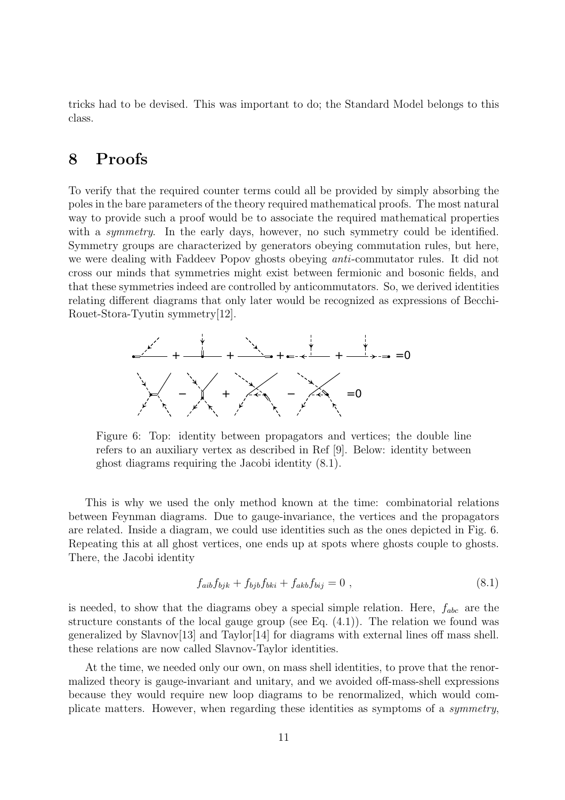tricks had to be devised. This was important to do; the Standard Model belongs to this class.

## 8 Proofs

To verify that the required counter terms could all be provided by simply absorbing the poles in the bare parameters of the theory required mathematical proofs. The most natural way to provide such a proof would be to associate the required mathematical properties with a *symmetry*. In the early days, however, no such symmetry could be identified. Symmetry groups are characterized by generators obeying commutation rules, but here, we were dealing with Faddeev Popov ghosts obeying anti-commutator rules. It did not cross our minds that symmetries might exist between fermionic and bosonic fields, and that these symmetries indeed are controlled by anticommutators. So, we derived identities relating different diagrams that only later would be recognized as expressions of Becchi-Rouet-Stora-Tyutin symmetry[12].



Figure 6: Top: identity between propagators and vertices; the double line refers to an auxiliary vertex as described in Ref [9]. Below: identity between ghost diagrams requiring the Jacobi identity (8.1).

This is why we used the only method known at the time: combinatorial relations between Feynman diagrams. Due to gauge-invariance, the vertices and the propagators are related. Inside a diagram, we could use identities such as the ones depicted in Fig. 6. Repeating this at all ghost vertices, one ends up at spots where ghosts couple to ghosts. There, the Jacobi identity

$$
f_{aib}f_{bjk} + f_{bjb}f_{bki} + f_{akb}f_{bij} = 0 , \qquad (8.1)
$$

is needed, to show that the diagrams obey a special simple relation. Here,  $f_{abc}$  are the structure constants of the local gauge group (see Eq. (4.1)). The relation we found was generalized by Slavnov $[13]$  and Taylor $[14]$  for diagrams with external lines off mass shell. these relations are now called Slavnov-Taylor identities.

At the time, we needed only our own, on mass shell identities, to prove that the renormalized theory is gauge-invariant and unitary, and we avoided off-mass-shell expressions because they would require new loop diagrams to be renormalized, which would complicate matters. However, when regarding these identities as symptoms of a symmetry,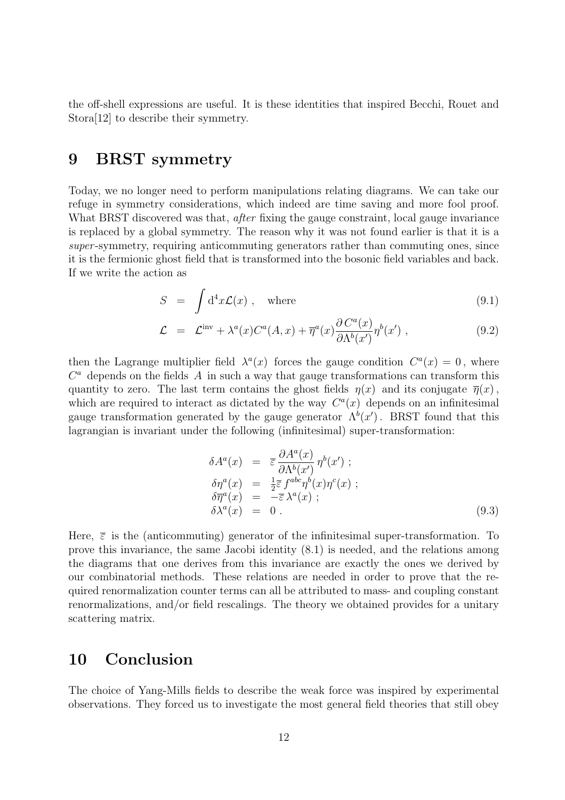the off-shell expressions are useful. It is these identities that inspired Becchi, Rouet and Stora[12] to describe their symmetry.

## 9 BRST symmetry

Today, we no longer need to perform manipulations relating diagrams. We can take our refuge in symmetry considerations, which indeed are time saving and more fool proof. What BRST discovered was that, *after* fixing the gauge constraint, local gauge invariance is replaced by a global symmetry. The reason why it was not found earlier is that it is a super-symmetry, requiring anticommuting generators rather than commuting ones, since it is the fermionic ghost field that is transformed into the bosonic field variables and back. If we write the action as

$$
S = \int d^4x \mathcal{L}(x) , \quad \text{where} \tag{9.1}
$$

$$
\mathcal{L} = \mathcal{L}^{\text{inv}} + \lambda^{a}(x)C^{a}(A,x) + \overline{\eta}^{a}(x)\frac{\partial C^{a}(x)}{\partial \Lambda^{b}(x')} \eta^{b}(x'), \qquad (9.2)
$$

then the Lagrange multiplier field  $\lambda^a(x)$  forces the gauge condition  $C^a(x) = 0$ , where  $C<sup>a</sup>$  depends on the fields A in such a way that gauge transformations can transform this quantity to zero. The last term contains the ghost fields  $\eta(x)$  and its conjugate  $\overline{\eta}(x)$ , which are required to interact as dictated by the way  $C<sup>a</sup>(x)$  depends on an infinitesimal gauge transformation generated by the gauge generator  $\Lambda^b(x')$ . BRST found that this lagrangian is invariant under the following (infinitesimal) super-transformation:

$$
\delta A^{a}(x) = \overline{\varepsilon} \frac{\partial A^{a}(x)}{\partial \Lambda^{b}(x')} \eta^{b}(x') ;
$$
  
\n
$$
\delta \eta^{a}(x) = \frac{1}{2} \overline{\varepsilon} f^{abc} \eta^{b}(x) \eta^{c}(x) ;
$$
  
\n
$$
\delta \overline{\eta}^{a}(x) = -\overline{\varepsilon} \lambda^{a}(x) ;
$$
  
\n
$$
\delta \lambda^{a}(x) = 0 .
$$
\n(9.3)

Here,  $\bar{\varepsilon}$  is the (anticommuting) generator of the infinitesimal super-transformation. To prove this invariance, the same Jacobi identity (8.1) is needed, and the relations among the diagrams that one derives from this invariance are exactly the ones we derived by our combinatorial methods. These relations are needed in order to prove that the required renormalization counter terms can all be attributed to mass- and coupling constant renormalizations, and/or field rescalings. The theory we obtained provides for a unitary scattering matrix.

#### 10 Conclusion

The choice of Yang-Mills fields to describe the weak force was inspired by experimental observations. They forced us to investigate the most general field theories that still obey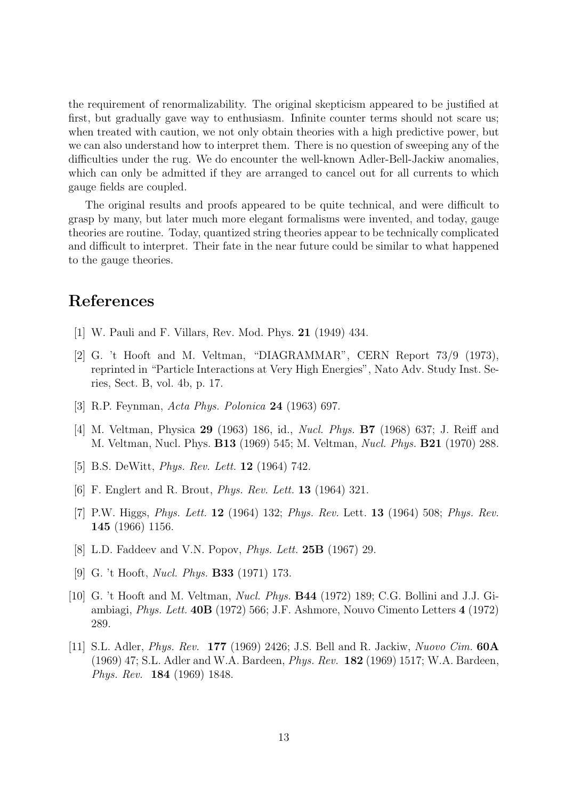the requirement of renormalizability. The original skepticism appeared to be justified at first, but gradually gave way to enthusiasm. Infinite counter terms should not scare us; when treated with caution, we not only obtain theories with a high predictive power, but we can also understand how to interpret them. There is no question of sweeping any of the difficulties under the rug. We do encounter the well-known Adler-Bell-Jackiw anomalies, which can only be admitted if they are arranged to cancel out for all currents to which gauge fields are coupled.

The original results and proofs appeared to be quite technical, and were difficult to grasp by many, but later much more elegant formalisms were invented, and today, gauge theories are routine. Today, quantized string theories appear to be technically complicated and difficult to interpret. Their fate in the near future could be similar to what happened to the gauge theories.

# References

- [1] W. Pauli and F. Villars, Rev. Mod. Phys. 21 (1949) 434.
- [2] G. 't Hooft and M. Veltman, "DIAGRAMMAR", CERN Report 73/9 (1973), reprinted in "Particle Interactions at Very High Energies", Nato Adv. Study Inst. Series, Sect. B, vol. 4b, p. 17.
- [3] R.P. Feynman, Acta Phys. Polonica 24 (1963) 697.
- [4] M. Veltman, Physica 29 (1963) 186, id., Nucl. Phys. B7 (1968) 637; J. Reiff and M. Veltman, Nucl. Phys. B13 (1969) 545; M. Veltman, Nucl. Phys. B21 (1970) 288.
- [5] B.S. DeWitt, *Phys. Rev. Lett.* **12** (1964) 742.
- [6] F. Englert and R. Brout, Phys. Rev. Lett. 13 (1964) 321.
- [7] P.W. Higgs, Phys. Lett. 12 (1964) 132; Phys. Rev. Lett. 13 (1964) 508; Phys. Rev. 145 (1966) 1156.
- [8] L.D. Faddeev and V.N. Popov, *Phys. Lett.* **25B** (1967) 29.
- [9] G. 't Hooft, Nucl. Phys. B33 (1971) 173.
- [10] G. 't Hooft and M. Veltman, Nucl. Phys. B44 (1972) 189; C.G. Bollini and J.J. Giambiagi, Phys. Lett. 40B (1972) 566; J.F. Ashmore, Nouvo Cimento Letters 4 (1972) 289.
- [11] S.L. Adler, Phys. Rev. 177 (1969) 2426; J.S. Bell and R. Jackiw, Nuovo Cim. 60A (1969) 47; S.L. Adler and W.A. Bardeen, Phys. Rev. 182 (1969) 1517; W.A. Bardeen, Phys. Rev. 184 (1969) 1848.